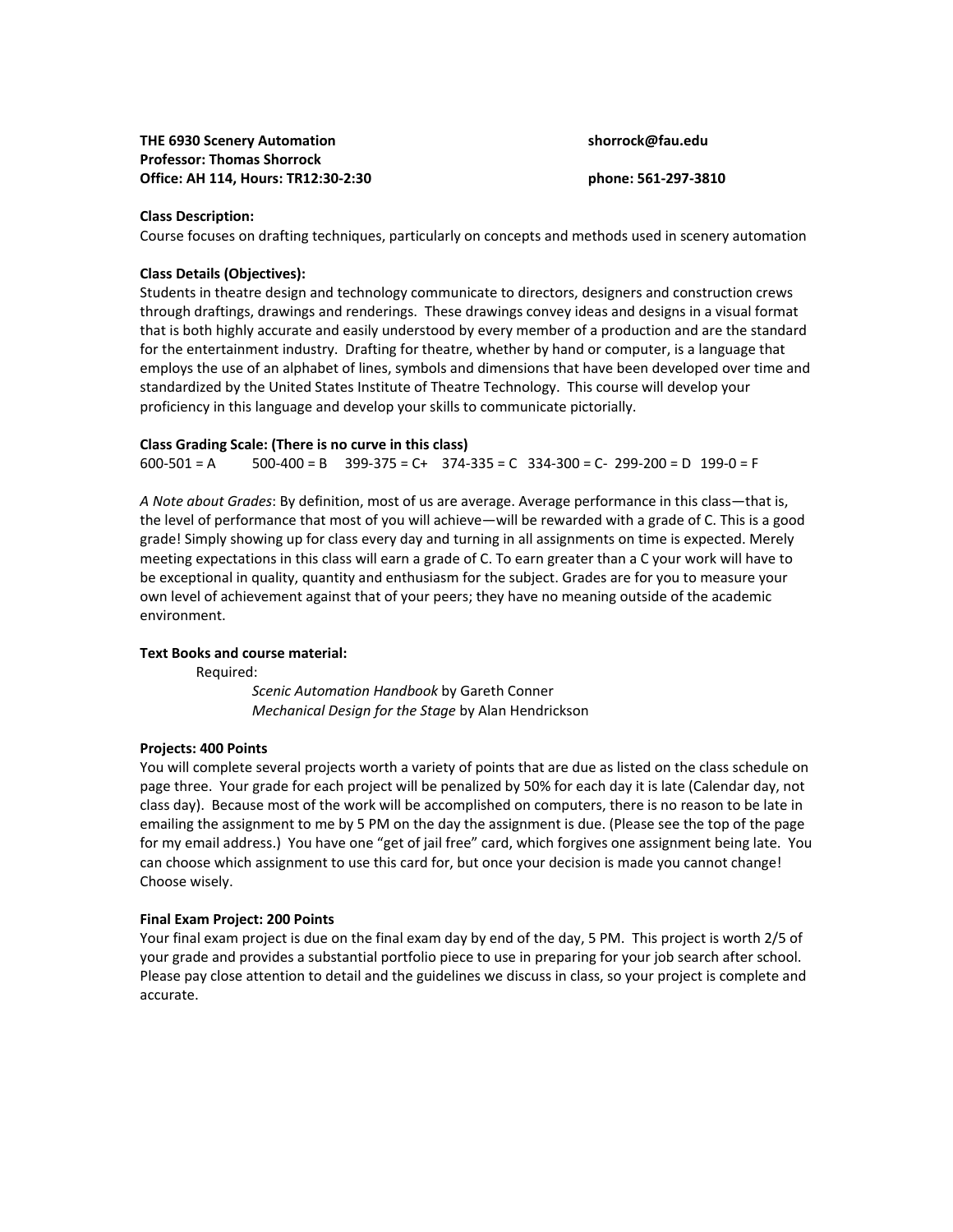## **Class Description:**

Course focuses on drafting techniques, particularly on concepts and methods used in scenery automation

## **Class Details (Objectives):**

Students in theatre design and technology communicate to directors, designers and construction crews through draftings, drawings and renderings. These drawings convey ideas and designs in a visual format that is both highly accurate and easily understood by every member of a production and are the standard for the entertainment industry. Drafting for theatre, whether by hand or computer, is a language that employs the use of an alphabet of lines, symbols and dimensions that have been developed over time and standardized by the United States Institute of Theatre Technology. This course will develop your proficiency in this language and develop your skills to communicate pictorially.

## **Class Grading Scale: (There is no curve in this class)**

 $600-501 = A$   $500-400 = B$   $399-375 = C + 374-335 = C$   $334-300 = C - 299-200 = D$   $199-0 = F$ 

*A Note about Grades*: By definition, most of us are average. Average performance in this class—that is, the level of performance that most of you will achieve—will be rewarded with a grade of C. This is a good grade! Simply showing up for class every day and turning in all assignments on time is expected. Merely meeting expectations in this class will earn a grade of C. To earn greater than a C your work will have to be exceptional in quality, quantity and enthusiasm for the subject. Grades are for you to measure your own level of achievement against that of your peers; they have no meaning outside of the academic environment.

## **Text Books and course material:**

Required:

*Scenic Automation Handbook* by Gareth Conner *Mechanical Design for the Stage* by Alan Hendrickson

# **Projects: 400 Points**

You will complete several projects worth a variety of points that are due as listed on the class schedule on page three. Your grade for each project will be penalized by 50% for each day it is late (Calendar day, not class day). Because most of the work will be accomplished on computers, there is no reason to be late in emailing the assignment to me by 5 PM on the day the assignment is due. (Please see the top of the page for my email address.) You have one "get of jail free" card, which forgives one assignment being late. You can choose which assignment to use this card for, but once your decision is made you cannot change! Choose wisely.

# **Final Exam Project: 200 Points**

Your final exam project is due on the final exam day by end of the day, 5 PM. This project is worth 2/5 of your grade and provides a substantial portfolio piece to use in preparing for your job search after school. Please pay close attention to detail and the guidelines we discuss in class, so your project is complete and accurate.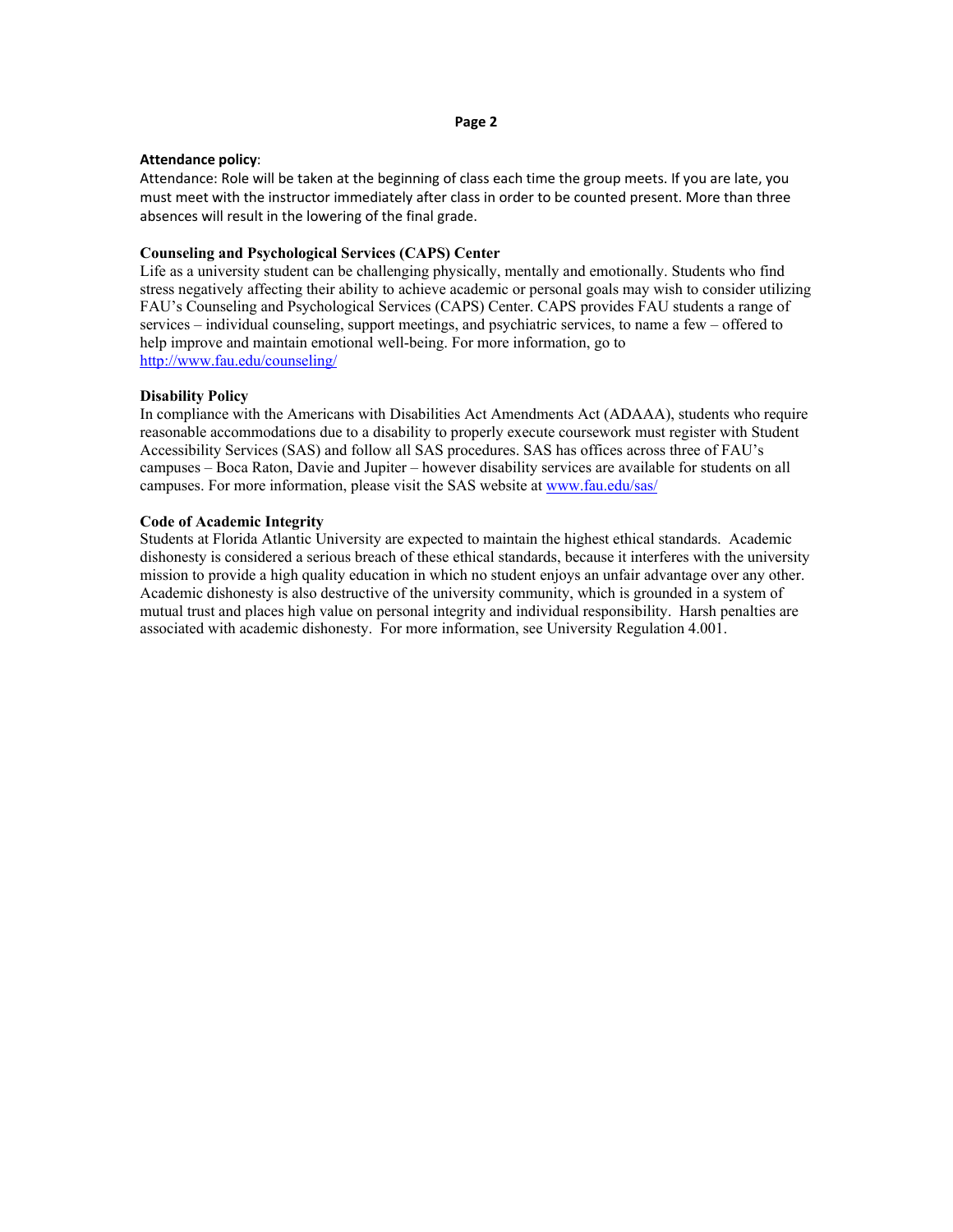#### **Page 2**

### **Attendance policy**:

Attendance: Role will be taken at the beginning of class each time the group meets. If you are late, you must meet with the instructor immediately after class in order to be counted present. More than three absences will result in the lowering of the final grade.

## **Counseling and Psychological Services (CAPS) Center**

Life as a university student can be challenging physically, mentally and emotionally. Students who find stress negatively affecting their ability to achieve academic or personal goals may wish to consider utilizing FAU's Counseling and Psychological Services (CAPS) Center. CAPS provides FAU students a range of services – individual counseling, support meetings, and psychiatric services, to name a few – offered to help improve and maintain emotional well-being. For more information, go to http://www.fau.edu/counseling/

### **Disability Policy**

In compliance with the Americans with Disabilities Act Amendments Act (ADAAA), students who require reasonable accommodations due to a disability to properly execute coursework must register with Student Accessibility Services (SAS) and follow all SAS procedures. SAS has offices across three of FAU's campuses – Boca Raton, Davie and Jupiter – however disability services are available for students on all campuses. For more information, please visit the SAS website at www.fau.edu/sas/

#### **Code of Academic Integrity**

Students at Florida Atlantic University are expected to maintain the highest ethical standards. Academic dishonesty is considered a serious breach of these ethical standards, because it interferes with the university mission to provide a high quality education in which no student enjoys an unfair advantage over any other. Academic dishonesty is also destructive of the university community, which is grounded in a system of mutual trust and places high value on personal integrity and individual responsibility. Harsh penalties are associated with academic dishonesty. For more information, see University Regulation 4.001.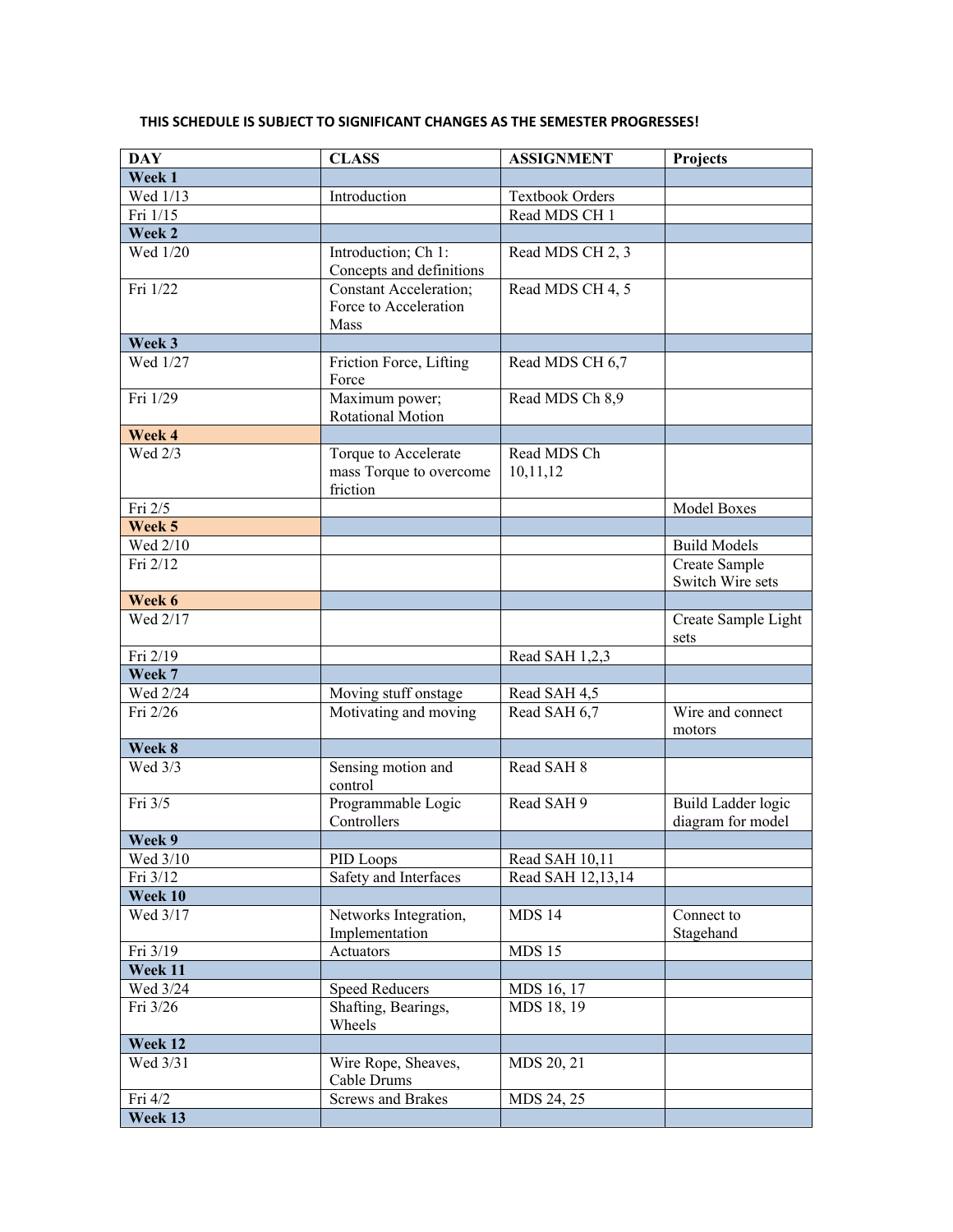|  | THIS SCHEDULE IS SUBJECT TO SIGNIFICANT CHANGES AS THE SEMESTER PROGRESSES! [ |
|--|-------------------------------------------------------------------------------|
|--|-------------------------------------------------------------------------------|

| <b>DAY</b> | <b>CLASS</b>                                                          | <b>ASSIGNMENT</b>       | Projects                                |
|------------|-----------------------------------------------------------------------|-------------------------|-----------------------------------------|
| Week 1     |                                                                       |                         |                                         |
| Wed 1/13   | Introduction                                                          | <b>Textbook Orders</b>  |                                         |
| Fri 1/15   |                                                                       | Read MDS CH 1           |                                         |
| Week 2     |                                                                       |                         |                                         |
| Wed 1/20   | Introduction; Ch 1:<br>Concepts and definitions                       | Read MDS CH 2, 3        |                                         |
| Fri 1/22   | <b>Constant Acceleration;</b><br>Force to Acceleration<br><b>Mass</b> | Read MDS CH 4, 5        |                                         |
| Week 3     |                                                                       |                         |                                         |
| Wed 1/27   | Friction Force, Lifting<br>Force                                      | Read MDS CH 6,7         |                                         |
| Fri 1/29   | Maximum power;<br>Rotational Motion                                   | Read MDS Ch 8,9         |                                         |
| Week 4     |                                                                       |                         |                                         |
| Wed 2/3    | Torque to Accelerate<br>mass Torque to overcome<br>friction           | Read MDS Ch<br>10,11,12 |                                         |
| Fri 2/5    |                                                                       |                         | <b>Model Boxes</b>                      |
| Week 5     |                                                                       |                         |                                         |
| Wed 2/10   |                                                                       |                         | <b>Build Models</b>                     |
| Fri 2/12   |                                                                       |                         | Create Sample<br>Switch Wire sets       |
| Week 6     |                                                                       |                         |                                         |
| Wed 2/17   |                                                                       |                         | Create Sample Light<br>sets             |
| Fri 2/19   |                                                                       | Read SAH 1,2,3          |                                         |
| Week 7     |                                                                       |                         |                                         |
| Wed 2/24   | Moving stuff onstage                                                  | Read SAH 4,5            |                                         |
| Fri 2/26   | Motivating and moving                                                 | Read SAH 6,7            | Wire and connect<br>motors              |
| Week 8     |                                                                       |                         |                                         |
| Wed 3/3    | Sensing motion and<br>control                                         | Read SAH 8              |                                         |
| Fri 3/5    | Programmable Logic<br>Controllers                                     | Read SAH 9              | Build Ladder logic<br>diagram for model |
| Week 9     |                                                                       |                         |                                         |
| Wed 3/10   | PID Loops                                                             | Read SAH 10,11          |                                         |
| Fri 3/12   | Safety and Interfaces                                                 | Read SAH 12,13,14       |                                         |
| Week 10    |                                                                       |                         |                                         |
| Wed 3/17   | Networks Integration,<br>Implementation                               | <b>MDS 14</b>           | Connect to<br>Stagehand                 |
| Fri 3/19   | Actuators                                                             | <b>MDS 15</b>           |                                         |
| Week 11    |                                                                       |                         |                                         |
| Wed 3/24   | <b>Speed Reducers</b>                                                 | MDS 16, 17              |                                         |
| Fri 3/26   | Shafting, Bearings,<br>Wheels                                         | MDS 18, 19              |                                         |
| Week 12    |                                                                       |                         |                                         |
| Wed 3/31   | Wire Rope, Sheaves,<br>Cable Drums                                    | MDS 20, 21              |                                         |
| Fri 4/2    | <b>Screws and Brakes</b>                                              | MDS 24, 25              |                                         |
| Week 13    |                                                                       |                         |                                         |